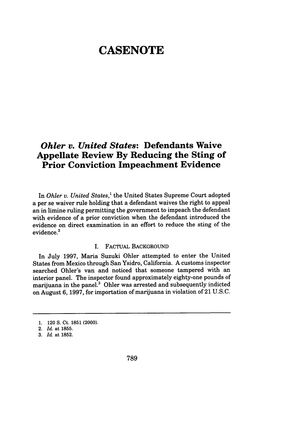# **CASENOTE**

## *Ohler v. United States:* **Defendants Waive Appellate Review By Reducing the Sting of Prior Conviction Impeachment Evidence**

In *Ohler v. United States,'* the United States Supreme Court adopted a per se waiver rule holding that a defendant waives the right to appeal an in limine ruling permitting the government to impeach the defendant with evidence of a prior conviction when the defendant introduced the evidence on direct examination in an effort to reduce the sting of the evidence.<sup>2</sup>

#### I. FACTUAL BACKGROUND

In July **1997,** Maria Suzuki Ohler attempted to enter the United States from Mexico through San Ysidro, California. **A** customs inspector searched Ohler's van and noticed that someone tampered with an interior panel. The inspector found approximately eighty-one pounds of marijuana in the panel.<sup>3</sup> Ohler was arrested and subsequently indicted on August **6, 1997,** for importation of marijuana in violation of 21 **U.S.C.**

<sup>1. 120</sup> **S.** Ct. 1851 (2000).

<sup>2.</sup> *Id.* at 1855.

*<sup>3.</sup> Id.* at 1852.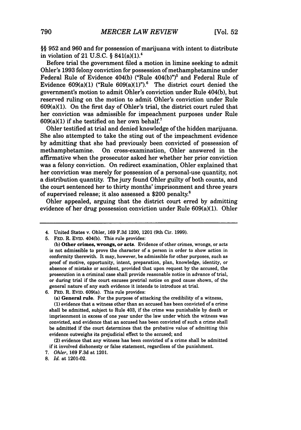§§ **952** and **960** and for possession of marijuana with intent to distribute in violation of 21 U.S.C. § 841(a)(1). <sup>4</sup>

Before trial the government filed a motion in limine seeking to admit Ohler's 1993 felony conviction for possession of methamphetamine under Federal Rule of Evidence 404(b) ("Rule 404(b)")<sup>5</sup> and Federal Rule of Evidence  $609(a)(1)$  ("Rule  $609(a)(1)$ ").<sup>6</sup> The district court denied the government's motion to admit Ohler's conviction under Rule 404(b), but reserved ruling on the motion to admit Ohler's conviction under Rule 609(a)(1). On the first day of Ohler's trial, the district court ruled that her conviction was admissible for impeachment purposes under Rule  $609(a)(1)$  if she testified on her own behalf.<sup>7</sup>

Ohler testified at trial and denied knowledge of the hidden marijuana. She also attempted to take the sting out of the impeachment evidence by admitting that she had previously been convicted of possession of methamphetamine. On cross-examination, Ohler answered in the affirmative when the prosecutor asked her whether her prior conviction was a felony conviction. On redirect examination, Ohler explained that her conviction was merely for possession of a personal-use quantity, not a distribution quantity. The jury found Ohler guilty of both counts, and the court sentenced her to thirty months' imprisonment and three years of supervised release; it also assessed a \$200 penalty.8

Ohler appealed, arguing that the district court erred by admitting evidence of her drug possession conviction under Rule 609(a)(1). Ohler

(a) General **rule.** For the purpose of attacking the credibility of a witness,

**(1)** evidence that a witness other than an accused has been convicted of a crime shall be admitted, subject to Rule 403, if the crime was punishable **by** death or imprisonment in excess of one year under the law under which the witness was convicted, and evidence that an accused has been convicted of such a crime shall be admitted if the court determines that the probative value of admitting this evidence outweighs its prejudicial effect to the accused; and

(2) evidence that any witness has been convicted of a crime shall be admitted if it involved dishonesty or false statement, regardless of the punishment.

<sup>4.</sup> United States v. Ohler, 169 F.3d 1200, 1201 (9th Cir. 1999).

**<sup>5.</sup> FED.** R. **EVID.** 404(b). This rule provides:

**<sup>(</sup>b)** Other crimes, wrongs, or acts. Evidence of other crimes, wrongs, or acts is not admissible to prove the character of a person in order to show action in conformity therewith. It may, however, be admissible for other purposes, such as proof of motive, opportunity, intent, preparation, plan, knowledge, identity, or absence of mistake or accident, provided that upon request **by** the accused, the prosecution in a criminal case shall provide reasonable notice in advance of trial, or during trial if the court excuses pretrial notice on good cause shown, of the general nature of any such evidence it intends to introduce at trial.

**<sup>6.</sup> FED.** R. EVID. 609(a). This rule provides:

*<sup>7.</sup> Ohler,* **169 F.3d** at **1201.**

*<sup>8.</sup> Id.* at 1201-02.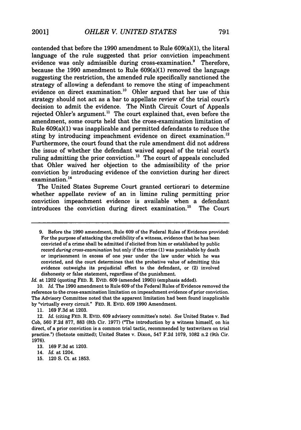contended that before the **1990** amendment to Rule 609(a)(1), the literal language of the rule suggested that prior conviction impeachment evidence was only admissible during cross-examination. $\delta$  Therefore, because the **1990** amendment to Rule 609(a)(1) removed the language suggesting the restriction, the amended rule specifically sanctioned the strategy of allowing a defendant to remove the sting of impeachment evidence on direct examination.<sup>10</sup> Ohler argued that her use of this strategy should not act as a bar to appellate review of the trial court's decision to admit the evidence. The Ninth Circuit Court of Appeals rejected Ohler's argument.<sup>11</sup> The court explained that, even before the amendment, some courts held that the cross-examination limitation of Rule 609(a)(1) was inapplicable and permitted defendants to reduce the sting by introducing impeachment evidence on direct examination.<sup>12</sup> Furthermore, the court found that the rule amendment did not address the issue of whether the defendant waived appeal of the trial court's ruling admitting the prior conviction.<sup>13</sup> The court of appeals concluded that Ohler waived her objection to the admissibility of the prior conviction **by** introducing evidence of the conviction during her direct examination.<sup>14</sup>

The United States Supreme Court granted certiorari to determine whether appellate review of an in limine ruling permitting prior conviction impeachment evidence is available when a defendant introduces the conviction during direct examination.<sup>15</sup> The Court

*Id.* at 1202 (quoting **FED.** R. **EVID. 609** (amended **1990))** (emphasis added).

**11. 169 F.3d** at **1203.**

12. *Id.* (citing **FED.** R. **EVID. 609** advisory committee's note). *See* United States v. Bad Cob, **560 F.2d 877, 883** (8th Cir. **1977)** ("The introduction **by** a witness himself, on his direct, of a prior conviction is a common trial tactic, recommended **by** textwriters on trial practice.") (footnote omitted); United States v. Dixon, 547 **F.2d 1079, 1082** n.2 (9th Cir. **1976).**

- 14. *Id.* at 1204.
- **15.** 120 **S.** Ct. at **1853.**

**<sup>9.</sup>** Before the **1990** amendment, Rule **609** of the Federal Rules of Evidence provided: For the purpose of attacking the credibility of a witness, evidence that he has been convicted of a crime shall be admitted if elicited from him or established **by** public record *during cross-examination* but only if the crime **(1)** was punishable **by** death or imprisonment in excess of one year under the law under which he was convicted, and the court determines that the probative value of admitting this evidence outweighs its prejudicial effect to the defendant, or (2) involved dishonesty or false statement, regardless of the punishment.

**<sup>10.</sup>** *Id.* The **1990** amendment to Rule **609** of the Federal Rules of Evidence removed the reference to the cross-examination limitation on impeachment evidence of prior conviction. The Advisory Committee noted that the apparent limitation had been found inapplicable **by** "virtually every circuit." **FED.** R. **EVID. 609 1990** Amendment.

**<sup>13. 169</sup> F.3d** at **1203.**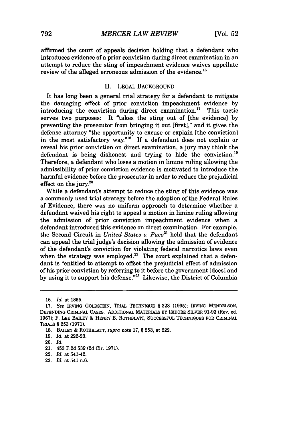affirmed the court of appeals decision holding that a defendant who introduces evidence of a prior conviction during direct examination in an attempt to reduce the sting of impeachment evidence waives appellate review of the alleged erroneous admission of the evidence.<sup>16</sup>

### II. LEGAL BACKGROUND

It has long been a general trial strategy for a defendant to mitigate the damaging effect of prior conviction impeachment evidence by introducing the conviction during direct examination.<sup>17</sup> This tactic serves two purposes: It "takes the sting out of [the evidence] by preventing the prosecutor from bringing it out [first]," and it gives the defense attorney "the opportunity to excuse or explain [the conviction] in the most satisfactory way."<sup>18</sup> If a defendant does not explain or reveal his prior conviction on direct examination, a jury may think the defendant is being dishonest and trying to hide the conviction.<sup>19</sup> Therefore, a defendant who loses a motion in limine ruling allowing the admissibility of prior conviction evidence is motivated to introduce the harmful evidence before the prosecutor in order to reduce the prejudicial effect on the jury. $20$ 

While a defendant's attempt to reduce the sting of this evidence was a commonly used trial strategy before the adoption of the Federal Rules of Evidence, there was no uniform approach to determine whether a defendant waived his right to appeal a motion in limine ruling allowing the admission of prior conviction impeachment evidence when a defendant introduced this evidence on direct examination. For example, the Second Circuit in *United States v. Puco*<sup>21</sup> held that the defendant can appeal the trial judge's decision allowing the admission of evidence of the defendant's conviction for violating federal narcotics laws even when the strategy was employed. $^{22}$  The court explained that a defendant is "entitled to attempt to offset the prejudicial effect of admission of his prior conviction **by** referring to it before the government [does] and **by** using it to support his defense."23 Likewise, the District of Columbia

**<sup>16.</sup>** *Id.* at **1855.**

**<sup>17.</sup>** *See* IRVING GOLDSTEIN, TRIAL TECHNIQUE § **328 (1935);** IRVING MENDELSON, DEFENDING CRIMINAL CASES. ADDITIONAL MATERIALS BY ISIDORE SILVER 91-93 (Rev. ed. 1967); F. LEE BAILEY & HENRY B. ROTHBLATT, SUCCESSFUL TECHNIQUES FOR CRIMINAL TRIALS § **253** (1971).

**<sup>18.</sup>** BAILEY & ROTHBLATT, *supra* note 17, § 253, at 222.

<sup>19.</sup> *Id.* at 222-23.

<sup>20.</sup> *Id.*

<sup>21. 453</sup> F.2d 539 **(2d** Cir. 1971).

<sup>22.</sup> *Id.* at 541-42.

<sup>23.</sup> *Id.* at 541 n.6.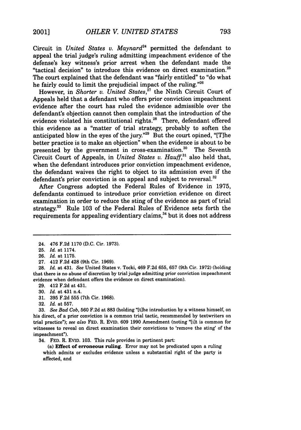Circuit in *United States v. Maynard*<sup>24</sup> permitted the defendant to appeal the trial judge's ruling admitting impeachment evidence of the defense's key witness's prior arrest when the defendant made the "tactical decision" to introduce this evidence on direct examination.<sup>25</sup> The court explained that the defendant was "fairly entitled" to "do what he fairly could to limit the prejudicial impact of the ruling."26

However, in *Shorter v. United States*,<sup>27</sup> the Ninth Circuit Court of Appeals held that a defendant who offers prior conviction impeachment evidence after the court has ruled the evidence admissible over the defendant's objection cannot then complain that the introduction of the evidence violated his constitutional rights.<sup>28</sup> There, defendant offered this evidence as a "matter of trial strategy, probably to soften the anticipated blow in the eyes of the jury."<sup>29</sup> But the court opined, "[T]he better practice is to make an objection" when the evidence is about to be presented by the government in cross-examination.<sup>30</sup> The Seventh Circuit Court of Appeals, in *United States v. Hauff,31* also held that, when the defendant introduces prior conviction impeachment evidence, the defendant waives the right to object to its admission even if the defendant's prior conviction is on appeal and subject to reversal. $32$ 

After Congress adopted the Federal Rules of Evidence in 1975, defendants continued to introduce prior conviction evidence on direct examination in order to reduce the sting of the evidence as part of trial strategy. $33$  Rule 103 of the Federal Rules of Evidence sets forth the requirements for appealing evidentiary claims,<sup>34</sup> but it does not address

27. 412 F.2d 428 (9th Cir. 1969).

29. 412 F.2d at 431.

- 31. 395 F.2d 555 (7th Cir. 1968).
- 32. *Id.* at 557.

34. **FED.** R. EVID. **103.** This rule provides in pertinent part:

(a) **Effect of erroneous ruling.** Error may not be predicated upon a ruling which admits or excludes evidence unless a substantial right of the party is affected, and

<sup>24. 476</sup> F.2d 1170 (D.C. Cir. 1973).

<sup>25.</sup> *Id.* at 1174.

<sup>26.</sup> *Id.* at 1175.

<sup>28.</sup> *Id.* at 431. *See* United States v. Tocki, 469 F.2d 655, 657 (9th Cir. 1972) (holding that there is no abuse of discretion by trial judge admitting prior conviction impeachment evidence when defendant offers the evidence on direct examination).

<sup>30.</sup> *Id.* at 431 n.4.

<sup>33.</sup> *See Bad Cob,* 560 F.2d at 883 (holding "[tihe introduction by a witness himself, on his direct, of a prior conviction is a common trial tactic, recommended by textwriters on trial practice"); see also FED. R. EVID. 609 1990 Amendment (noting "[i]t is common for witnesses to reveal on direct examination their convictions to 'remove the sting' of the impeachment").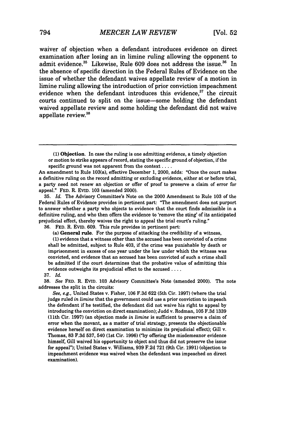waiver of objection when a defendant introduces evidence on direct examination after losing an in limine ruling allowing the opponent to admit evidence.<sup>35</sup> Likewise, Rule 609 does not address the issue.<sup>36</sup> In the absence of specific direction in the Federal Rules of Evidence on the issue of whether the defendant waives appellate review of a motion in limine ruling allowing the introduction of prior conviction impeachment evidence when the defendant introduces this evidence. $37$  the circuit courts continued to split on the issue-some holding the defendant waived appellate review and some holding the defendant did not waive appellate review.<sup>34</sup>

(1) Objection. In case the ruling is one admitting evidence, a timely objection or motion to strike appears of record, stating the specific ground of objection, if the specific ground was not apparent from the context . . . .

35. *Id.* The Advisory Committee's Note on the 2000 Amendment to Rule 103 of the Federal Rules of Evidence provides in pertinent part: "The amendment does not purport to answer whether a party who objects to evidence that the court finds admissible in a definitive ruling, and who then offers the evidence to 'remove the sting' of its anticipated prejudicial effect, thereby waives the right to appeal the trial court's ruling."

**36.** FED. R. **EVID.** 609. This rule provides in pertinent part:

**(1)** evidence that a witness other than the accused has been convicted of a crime shall be admitted, subject to Rule 403, if the crime was punishable by death or imprisonment in excess of one year under the law under which the witness was convicted, and evidence that an accused has been convicted of such a crime shall be admitted if the court determines that the probative value of admitting this evidence outweighs its prejudicial effect to the accused **....**

#### 37. *Id.*

38. *See* FED. R. EVID. 103 Advisory Committee's Note (amended 2000). The note addresses the split in the circuits:

*See, e.g.,* United States v. Fisher, 106 F.3d 622 (5th Cir. 1997) (where the trial judge ruled *in limine* that the government could use a prior conviction to impeach the defendant if he testified, the defendant did not waive his right to appeal by introducing the conviction on direct examination); Judd v. Rodman, 105 F.3d 1339 (11th Cir. 1997) (an objection made *in limine* is sufficient to preserve a claim of error when the movant, as a matter of trial strategy, presents the objectionable evidence herself on direct examination to minimize its prejudicial effect); Gill v. Thomas, 83 F.3d 537, 540 (1st Cir. 1996) **("by** offering the misdemeanor evidence himself, Gill waived his opportunity to object and thus did not preserve the issue for appeal"); United States v. Williams, 939 F.2d 721 (9th Cir. 1991) (objection to impeachment evidence was waived when the defendant was impeached on direct examination).

An amendment to Rule 103(a), effective December 1, 2000, adds: "Once the court makes a definitive ruling on the record admitting or excluding evidence, either at or before trial, a party need not renew an objection or offer of proof to preserve a claim of error for appeal." FED. R. EVID. 103 (amended 2000).

<sup>(</sup>a) **General rule.** For the purpose of attacking the credibility of a witness,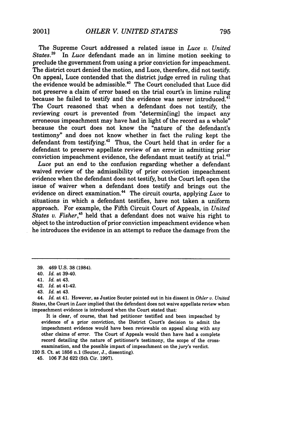The Supreme Court addressed a related issue in *Luce v. United States.39* In *Luce* defendant made an in limine motion seeking to preclude the government from using a prior conviction for impeachment. The district court denied the motion, and Luce, therefore, did not testify. On appeal, Luce contended that the district judge erred in ruling that the evidence would be admissible." The Court concluded that Luce did not preserve a claim of error based on the trial court's in limine ruling because he failed to testify and the evidence was never introduced.<sup>41</sup> The Court reasoned that when a defendant does not testify, the reviewing court is prevented from "determin[ing] the impact any erroneous impeachment may have had in light of the record as a whole" because the court does not know the "nature of the defendant's testimony" and does not know whether in fact the ruling kept the defendant from testifying.<sup>42</sup> Thus, the Court held that in order for a defendant to preserve appellate review of an error in admitting prior conviction impeachment evidence, the defendant must testify at trial.<sup>43</sup>

*Luce* put an end to the confusion regarding whether a defendant waived review of the admissibility of prior conviction impeachment evidence when the defendant does not testify, but the Court left open the issue of waiver when a defendant does testify and brings out the evidence on direct examination.<sup>44</sup> The circuit courts, applying *Luce* to situations in which a defendant testifies, have not taken a uniform approach. For example, the Fifth Circuit Court of Appeals, in *United States* v. *Fisher,45* held that a defendant does not waive his right to object to the introduction of prior conviction impeachment evidence when he introduces the evidence in an attempt to reduce the damage from the

It is clear, of course, that had petitioner testified and been impeached by evidence of a prior conviction, the District Court's decision to admit the impeachment evidence would have been reviewable on appeal along with any other claims of error. The Court of Appeals would then have had a complete record detailing the nature of petitioner's testimony, the scope of the crossexamination, and the possible impact of impeachment on the jury's verdict.

120 S. Ct. at 1856 n.1 (Souter, J., dissenting).

45. 106 F.3d 622 (5th Cir. 1997).

<sup>39. 469</sup> U.S. 38 (1984).

<sup>40.</sup> *Id.* at 39-40.

<sup>41.</sup> *Id.* at 43.

<sup>42.</sup> *Id.* at 41-42.

<sup>43.</sup> *Id.* at 43.

<sup>44.</sup> *Id.* at 41. However, as Justice Souter pointed out in his dissent in *Ohler v. United States,* the Court in Luce implied that the defendant does not waive appellate review when impeachment evidence is introduced when the Court stated that: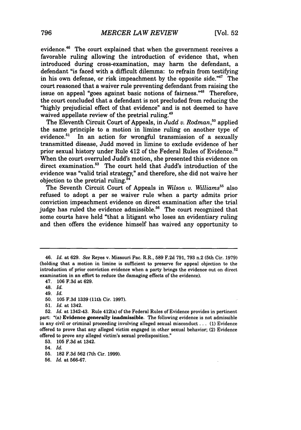evidence.<sup>46</sup> The court explained that when the government receives a favorable ruling allowing the introduction of evidence that, when introduced during cross-examination, may harm the defendant, a defendant "is faced with a difficult dilemma: to refrain from testifying in his own defense, or risk impeachment by the opposite side." $47$  The court reasoned that a waiver rule preventing defendant from raising the issue on appeal "goes against basic notions of fairness."48 Therefore, the court concluded that a defendant is not precluded from reducing the "highly prejudicial effect of that evidence" and is not deemed to have waived appellate review of the pretrial ruling.<sup>49</sup>

The Eleventh Circuit Court of Appeals, in *Judd v. Rodman, °* applied the same principle to a motion in limine ruling on another type of evidence.<sup>51</sup> In an action for wrongful transmission of a sexually In an action for wrongful transmission of a sexually transmitted disease, Judd moved in limine to exclude evidence of her prior sexual history under Rule 412 of the Federal Rules of Evidence.<sup>52</sup> When the court overruled Judd's motion, she presented this evidence on direct examination.<sup>53</sup> The court held that Judd's introduction of the evidence was "valid trial strategy," and therefore, she did not waive her objection to the pretrial ruling.<sup>54</sup>

The Seventh Circuit Court of Appeals in *Wilson v. Williams<sup>55</sup>* also refused to adopt a per se waiver rule when a party admits prior conviction impeachment evidence on direct examination after the trial judge has ruled the evidence admissible.<sup>56</sup> The court recognized that some courts have held "that a litigant who loses an evidentiary ruling and then offers the evidence himself has waived any opportunity to

**51.** *Id.* at 1342.

<sup>46.</sup> *Id.* at 629. *See* Reyes v. Missouri Pac. R.R., 589 F.2d 791, 793 n.2 (5th Cir. 1979) (holding that a motion in limine is sufficient to preserve for appeal objection to the introduction of prior conviction evidence when a party brings the evidence out on direct examination in an effort to reduce the damaging effects of the evidence).

<sup>47.</sup> **106 F.3d** at **629.**

<sup>48.</sup> *Id.*

<sup>49.</sup> *Id.*

<sup>50. 105</sup> F.3d 1339 (lth Cir. 1997).

<sup>52.</sup> *Id.* at 1342-43. Rule 412(a) of the Federal Rules of Evidence provides in pertinent part: "(a) Evidence generally inadmissible. The following evidence is not admissible in any civil or criminal proceeding involving alleged sexual misconduct... **(1)** Evidence offered to prove that any alleged victim engaged in other sexual behavior; (2) Evidence offered to prove any alleged victim's sexual predisposition."

**<sup>53. 105</sup> F.3d** at 1342.

<sup>55. 182</sup> F.3d 562 (7th Cir. 1999).

<sup>56.</sup> *Id.* at 566-67.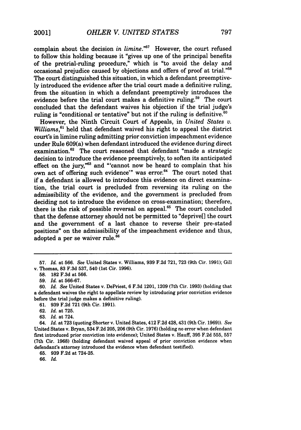complain about the decision *in limine."57* However, the court refused to follow this holding because it "gives up one of the principal benefits of the pretrial-ruling procedure," which is "to avoid the delay and occasional prejudice caused by objections and offers of proof at trial."<sup>58</sup> The court distinguished this situation, in which a defendant preemptively introduced the evidence after the trial court made a definitive ruling, from the situation in which a defendant preemptively introduces the evidence before the trial court makes a definitive ruling.<sup>59</sup> The court concluded that the defendant waives his objection if the trial judge's ruling is "conditional or tentative" but not if the ruling is definitive.  $60$ 

However, the Ninth Circuit Court of Appeals, in *United States v. Williams,"'* held that defendant waived his right to appeal the district court's in limine ruling admitting prior conviction impeachment evidence under Rule 609(a) when defendant introduced the evidence during direct examination.<sup>62</sup> The court reasoned that defendant "made a strategic decision to introduce the evidence preemptively, to soften its anticipated effect on the jury,<sup>"63</sup> and "'cannot now be heard to complain that his own act of offering such evidence'" was error.<sup>64</sup> The court noted that if a defendant is allowed to introduce this evidence on direct examination, the trial court is precluded from reversing its ruling on the admissibility of the evidence, and the government is precluded from deciding not to introduce the evidence on cross-examination; therefore, there is the risk of possible reversal on appeal. $65$  The court concluded that the defense attorney should not be permitted to "deprive[] the court and the government of a last chance to reverse their pre-stated positions" on the admissibility of the impeachment evidence and thus, adopted a per se waiver rule.<sup>66</sup>

**<sup>57.</sup>** *Id.* at **566.** *See* United States v. Williams, **939 F.2d 721, 723** (9th Cir. **1991);** Gill v. Thomas, **83 F.3d 537,** 540 (1st Cir. **1996).**

**<sup>58. 182</sup> F.3d** at **566.**

**<sup>59.</sup>** *Id.* at **566-67.**

**<sup>60.</sup>** *Id. See* United States v. DePriest, **6 F.3d** 1201, **1209** (7th Cir. **1993)** (holding that a defendant waives the right to appellate review **by** introducing prior conviction evidence before the trial judge makes a definitive ruling).

**<sup>61. 939</sup> F.2d 721** (9th Cir. **1991).**

**<sup>62.</sup>** *Id.* at **725.**

**<sup>63.</sup>** *Id.* at 724.

<sup>64.</sup> *Id.* at **723** (quoting Shorter v. United States, 412 **F.2d** 428, 431 (9th Cir. **1969)).** *See* United States v. Bryan, 534 **F.2d 205, 206** (9th Cir. **1976)** (holding no error when defendant first introduced prior conviction into evidence); United States v. Hauff, **395 F.2d 555, 557** (7th Cir. **1968)** (holding defendant waived appeal of prior conviction evidence when defendant's attorney introduced the evidence when defendant testified).

**<sup>65. 939</sup> F.2d** at 724-25.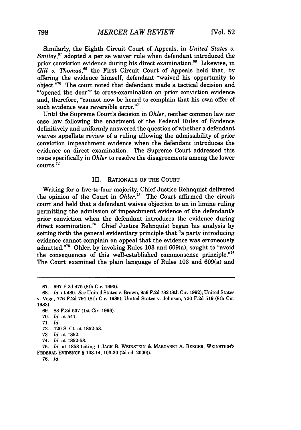Similarly, the Eighth Circuit Court of Appeals, in *United States v. Smiley,67* adopted a per se waiver rule when defendant introduced the prior conviction evidence during his direct examination.<sup>68</sup> Likewise, in *Gill v. Thomas,69* the First Circuit Court of Appeals held that, by offering the evidence himself, defendant "waived his opportunity to object."<sup>70</sup> The court noted that defendant made a tactical decision and "'opened the door'" to cross-examination on prior conviction evidence and, therefore, "cannot now be heard to complain that his own offer of such evidence was reversible error."<sup>71</sup>

Until the Supreme Court's decision in *Ohler,* neither common law nor case law following the enactment of the Federal Rules of Evidence definitively and uniformly answered the question of whether a defendant waives appellate review of a ruling allowing the admissibility of prior conviction impeachment evidence when the defendant introduces the evidence on direct examination. The Supreme Court addressed this issue specifically in *Ohler* to resolve the disagreements among the lower  $counts.<sup>72</sup>$ 

#### III. RATIONALE OF THE **COURT**

Writing for a five-to-four majority, Chief Justice Rehnquist delivered the opinion of the Court in *Ohler.73* The Court affirmed the circuit court and held that a defendant waives objection to an in limine ruling permitting the admission of impeachment evidence of the defendant's prior conviction when the defendant introduces the evidence during direct examination.74 Chief Justice Rehnquist began his analysis **by** setting forth the general evidentiary principle that "a party introducing evidence cannot complain on appeal that the evidence was erroneously admitted."<sup>75</sup> Ohler, by invoking Rules 103 and 609(a), sought to "avoid the consequences of this well-established commonsense principle."<sup>76</sup> The Court examined the plain language of Rules **103** and 609(a) and

**<sup>67. 997</sup> F.2d** 475 (8th Cir. **1993).**

**<sup>68.</sup>** *Id.* at 480. *See* United States v. Brown, **956 F.2d 782** (8th Cir. **1992);** United States v. Vega, **776 F.2d 791** (8th Cir. **1985);** United States v. Johnson, **720 F.2d 519** (8th Cir. **1983).**

**<sup>69. 83</sup> F.3d 537 (1st** Cir. **1996).**

**<sup>70.</sup>** *Id.* at 541.

<sup>71.</sup> *Id.*

<sup>72. 120</sup> S. Ct. at 1852-53.

<sup>73.</sup> *Id.* at 1852.

<sup>74.</sup> *Id.* at 1852-53.

**<sup>75.</sup>** *Id.* at **1853** (citing 1 **JACK** B. **WEINSTEIN** & MARGARET **A.** BERGER, **WEINSTEIN'S** FEDERAL **EVIDENCE** § 103.14, **103-30 (2d** ed. 2000)).

**<sup>76.</sup>** *Id.*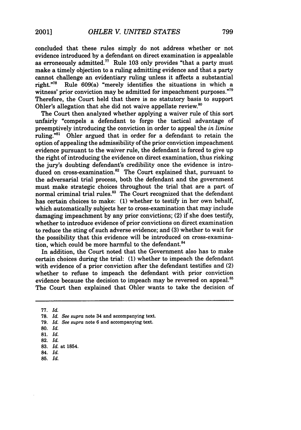concluded that these rules simply do not address whether or not evidence introduced by a defendant on direct examination is appealable as erroneously admitted.<sup>77</sup> Rule 103 only provides "that a party must make a timely objection to a ruling admitting evidence and that a party cannot challenge an evidentiary ruling unless it affects a substantial right.<sup>778</sup> Rule 609(a) "merely identifies the situations in which a Rule 609(a) "merely identifies the situations in which a witness' prior conviction may be admitted for impeachment purposes."<sup>79</sup> Therefore, the Court held that there is no statutory basis to support Ohler's allegation that she did not waive appellate review. $80$ 

The Court then analyzed whether applying a waiver rule of this sort unfairly "compels a defendant to forgo the tactical advantage of preemptively introducing the conviction in order to appeal the *in limine* ruling."<sup>81</sup> Ohler argued that in order for a defendant to retain the option of appealing the admissibility of the prior conviction impeachment evidence pursuant to the waiver rule, the defendant is forced to give up the right of introducing the evidence on direct examination, thus risking the jury's doubting defendant's credibility once the evidence is introduced on cross-examination.<sup>82</sup> The Court explained that, pursuant to the adversarial trial process, both the defendant and the government must make strategic choices throughout the trial that are a part of normal criminal trial rules.<sup>83</sup> The Court recognized that the defendant has certain choices to make: **(1)** whether to testify in her own behalf, which automatically subjects her to cross-examination that may include damaging impeachment by any prior convictions; (2) if she does testify, whether to introduce evidence of prior convictions on direct examination to reduce the sting of such adverse evidence; and (3) whether to wait for the possibility that this evidence will be introduced on cross-examination, which could be more harmful to the defendant.<sup>84</sup>

In addition, the Court noted that the Government also has to make certain choices during the trial: (1) whether to impeach the defendant with evidence of a prior conviction after the defendant testifies and (2) whether to refuse to impeach the defendant with prior conviction evidence because the decision to impeach may be reversed on appeal.<sup>85</sup> The Court then explained that Ohler wants to take the decision of

<sup>77.</sup> *Id.*

**<sup>78.</sup>** *Id. See supra* note 34 and accompanying text.

**<sup>79.</sup>** *Id. See supra* note 6 and accompanying text.

<sup>80.</sup> *Id.*

**<sup>81.</sup>** *Id.*

<sup>82.</sup> *Id.*

<sup>83.</sup> *Id.* at 1854.

<sup>84.</sup> *Id.*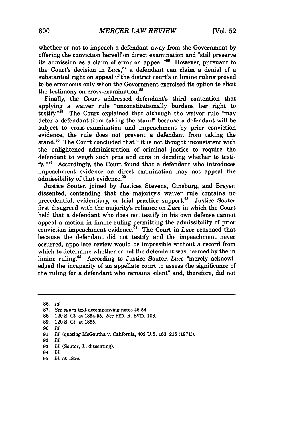whether or not to impeach a defendant away from the Government by offering the conviction herself on direct examination and "still preserve its admission as a claim of error on appeal."<sup>86</sup> However, pursuant to the Court's decision in *Luce,87* a defendant can claim a denial of a substantial right on appeal if the district court's in limine ruling proved to be erroneous only when the Government exercised its option to elicit the testimony on cross-examination.<sup>88</sup>

Finally, the Court addressed defendant's third contention that applying a waiver rule "unconstitutionally burdens her right to testify."<sup>89</sup> The Court explained that although the waiver rule "may deter a defendant from taking the stand" because a defendant will be subject to cross-examination and impeachment by prior conviction evidence, the rule does not prevent a defendant from taking the stand.<sup>90</sup> The Court concluded that "'it is not thought inconsistent with the enlightened administration of criminal justice to require the defendant to weigh such pros and cons in deciding whether to testify.<sup>1991</sup> Accordingly, the Court found that a defendant who introduces impeachment evidence on direct examination may not appeal the admissibility of that evidence.<sup>92</sup>

Justice Souter, joined by Justices Stevens, Ginsburg, and Breyer, dissented, contending that the majority's waiver rule contains no precedential, evidentiary, or trial practice support.<sup>93</sup> Justice Souter first disagreed with the majority's reliance on *Luce* in which the Court held that a defendant who does not testify in his own defense cannot appeal a motion in limine ruling permitting the admissibility of prior conviction impeachment evidence.<sup>94</sup> The Court in *Luce* reasoned that because the defendant did not testify and the impeachment never occurred, appellate review would be impossible without a record from which to determine whether or not the defendant was harmed by the in limine ruling.95 According to Justice Souter, *Luce* "merely acknowledged the incapacity of an appellate court to assess the significance of the ruling for a defendant who remains silent" and, therefore, did not

**95.** *Id.* at 1856.

<sup>86.</sup> *Id.*

**<sup>87.</sup>** *See supra* text accompanying notes 46-54.

<sup>88. 120</sup> S. Ct. at 1854-55. *See* FED. R. EVID. 103.

<sup>89. 120</sup> S. Ct. at 1855.

<sup>90.</sup> *Id.*

<sup>91.</sup> *Id.* (quoting McGautha v. California, 402 U.S. 183, 215 (1971)).

<sup>92.</sup> *Id.*

<sup>93.</sup> *Id.* (Souter, J., dissenting).

<sup>94.</sup> *Id.*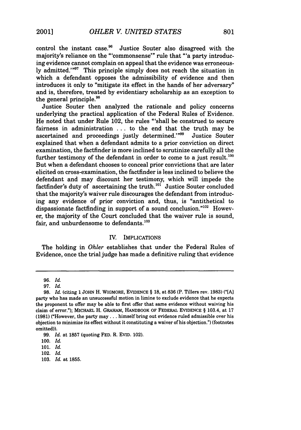control the instant case.<sup>96</sup> Justice Souter also disagreed with the majority's reliance on the "'commonsense"' rule that "'a party introducing evidence cannot complain on appeal that the evidence was erroneously admitted.'"97 This principle simply does not reach the situation in which a defendant opposes the admissibility of evidence and then introduces it only to "mitigate its effect in the hands of her adversary" and is, therefore, treated by evidentiary scholarship as an exception to the general principle.<sup>98</sup>

Justice Souter then analyzed the rationale and policy concerns underlying the practical application of the Federal Rules of Evidence. He noted that under Rule 102, the rules "'shall be construed to secure fairness in administration ... to the end that the truth may be ascertained and proceedings justly determined.'"<sup>99</sup> Justice Souter explained that when a defendant admits to a prior conviction on direct examination, the factfinder is more inclined to scrutinize carefully all the further testimony of the defendant in order to come to a just result. $^{100}$ But when a defendant chooses to conceal prior convictions that are later elicited on cross-examination, the factfinder is less inclined to believe the defendant and may discount her testimony, which will impede the factfinder's duty of ascertaining the truth. $101$  Justice Souter concluded that the majority's waiver rule discourages the defendant from introducing any evidence of prior conviction and, thus, is "antithetical to dispassionate factfinding in support of a sound conclusion."<sup>102</sup> However, the majority of the Court concluded that the waiver rule is sound, fair, and unburdensome to defendants.<sup>103</sup>

#### IV. IMPLICATIONS

The holding in *Ohler* establishes that under the Federal Rules of Evidence, once the trial judge has made a definitive ruling that evidence

103. *Id.* at 1855.

<sup>96.</sup> *Id.*

<sup>97.</sup> *Id.*

<sup>98.</sup> *Id.* (citing 1JoHN H. WIGMORE, EVIDENCE § **18,** at 836 (P. Tillers rev. 1983) ("[A] party who has made an unsuccessful motion in limine to exclude evidence that he expects the proponent to offer may be able to first offer that same evidence without waiving his claim of error."); MICHAEL H. GRAHAM, HANDBOOK OF FEDERAL EVIDENCE § 103.4, at 17 (1981) ("However, the party may... himself bring out evidence ruled admissible over his objection to minimize its effect without it constituting a waiver of his objection.") (footnotes omitted)).

<sup>99.</sup> *Id.* at 1857 (quoting FED. R. EVID. 102).

<sup>100.</sup> *Id.*

<sup>101.</sup> *Id.*

<sup>102.</sup> *Id.*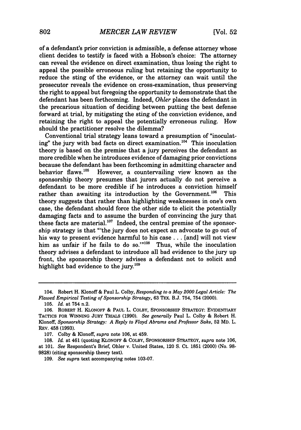of a defendant's prior conviction is admissible, a defense attorney whose client decides to testify is faced with a Hobson's choice: The attorney can reveal the evidence on direct examination, thus losing the right to appeal the possible erroneous ruling but retaining the opportunity to reduce the sting of the evidence, or the attorney can wait until the prosecutor reveals the evidence on cross-examination, thus preserving the right to appeal but foregoing the opportunity to demonstrate that the defendant has been forthcoming. Indeed, *Ohler* places the defendant in the precarious situation of deciding between putting the best defense forward at trial, by mitigating the sting of the conviction evidence, and retaining the right to appeal the potentially erroneous ruling. How should the practitioner resolve the dilemma?

Conventional trial strategy leans toward a presumption of "inoculating" the jury with bad facts on direct examination.<sup>104</sup> This inoculation theory is based on the premise that a jury perceives the defendant as more credible when he introduces evidence of damaging prior convictions because the defendant has been forthcoming in admitting character and behavior flaws.<sup>105</sup> However, a countervailing view known as the However, a countervailing view known as the sponsorship theory presumes that jurors actually do not perceive a defendant to be more credible if he introduces a conviction himself rather than awaiting its introduction by the Government.<sup>106</sup> This theory suggests that rather than highlighting weaknesses in one's own case, the defendant should force the other side to elicit the potentially damaging facts and to assume the burden of convincing the jury that these facts are material.<sup>107</sup> Indeed, the central premise of the sponsorship strategy is that "'the jury does not expect an advocate to go out of his way to present evidence harmful to his case... [and] will not view him as unfair if he fails to do so." $108$  Thus, while the inoculation theory advises a defendant to introduce all bad evidence to the jury up front, the sponsorship theory advises a defendant not to solicit and highlight bad evidence to the jury.<sup>109</sup>

<sup>104.</sup> Robert H. Klonoff & Paul L. Colby, *Responding to a May 2000 Legal Article: The Flawed Empirical Testing of Sponsorship Strategy,* 63 TEX. B.J. 754, 754 (2000).

**<sup>105.</sup>** *Id.* at 754 n.2.

**<sup>106.</sup>** ROBERT H. KLONOFF & PAUL L. COLBY, **SPONSORSHIP** STRATEGY: EVIDENTIARY **TACTICS** FOR **WINNING** JURY TRIALS **(1990).** *See generally* Paul L. Colby & Robert H. Klonoff, *Sponsorship Strategy: A Reply to Floyd Abrams and Professor Saks,* 52 MD. L. REV. 458 (1993).

<sup>107.</sup> Colby & Kionoff, *supra* note 106, at 459.

<sup>108.</sup> *Id.* at 461 (quoting KLONOFF & COLBY, SPONSORSHIP STRATEGY, *supra* note 106, at 101. *See* Respondent's Brief, Ohler v. United States, 120 **S.** Ct. **1851** (2000) (No. **98- 9828)** (citing sponsorship theory text).

<sup>109.</sup> *See supra* text accompanying notes 103-07.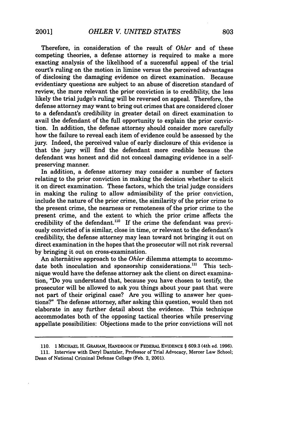Therefore, in consideration of the result of *Ohler* and of these competing theories, a defense attorney is required to make a more exacting analysis of the likelihood of a successful appeal of the trial court's ruling on the motion in limine versus the perceived advantages of disclosing the damaging evidence on direct examination. Because evidentiary questions are subject to an abuse of discretion standard of review, the more relevant the prior conviction is to credibility, the less likely the trial judge's ruling will be reversed on appeal. Therefore, the defense attorney may want to bring out crimes that are considered closer to a defendant's credibility in greater detail on direct examination to avail the defendant of the full opportunity to explain the prior conviction. In addition, the defense attorney should consider more carefully how the failure to reveal each item of evidence could be assessed by the jury. Indeed, the perceived value of early disclosure of this evidence is that the jury will find the defendant more credible because the defendant was honest and did not conceal damaging evidence in a selfpreserving manner.

In addition, a defense attorney may consider a number of factors relating to the prior conviction in making the decision whether to elicit it on direct examination. These factors, which the trial judge considers in making the ruling to allow admissibility of the prior conviction, include the nature of the prior crime, the similarity of the prior crime to the present crime, the nearness or remoteness of the prior crime to the present crime, and the extent to which the prior crime affects the credibility of the defendant.<sup>110</sup> If the crime the defendant was previously convicted of is similar, close in time, or relevant to the defendant's credibility, the defense attorney may lean toward not bringing it out on direct examination in the hopes that the prosecutor will not risk reversal by bringing it out on cross-examination.

An alternative approach to the *Ohler* dilemma attempts to accommodate both inoculation and sponsorship considerations.<sup>111</sup> This technique would have the defense attorney ask the client on direct examination, "Do you understand that, because you have chosen to testify, the prosecutor will be allowed to ask you things about your past that were not part of their original case? Are you willing to answer her questions?" The defense attorney, after asking this question, would then not elaborate in any further detail about the evidence. This technique accommodates both of the opposing tactical theories while preserving appellate possibilities: Objections made to the prior convictions will not

**<sup>110. 1</sup>** MICHAEL H. GRAHAM, HANDBOOK OF FEDERAL EVIDENCE § **609.3** (4th ed. **1996).**

**<sup>111.</sup>** Interview with Deryl Dantzler, Professor of Trial Advocacy, Mercer Law School; Dean of National Criminal Defense College (Feb. 2, 2001).